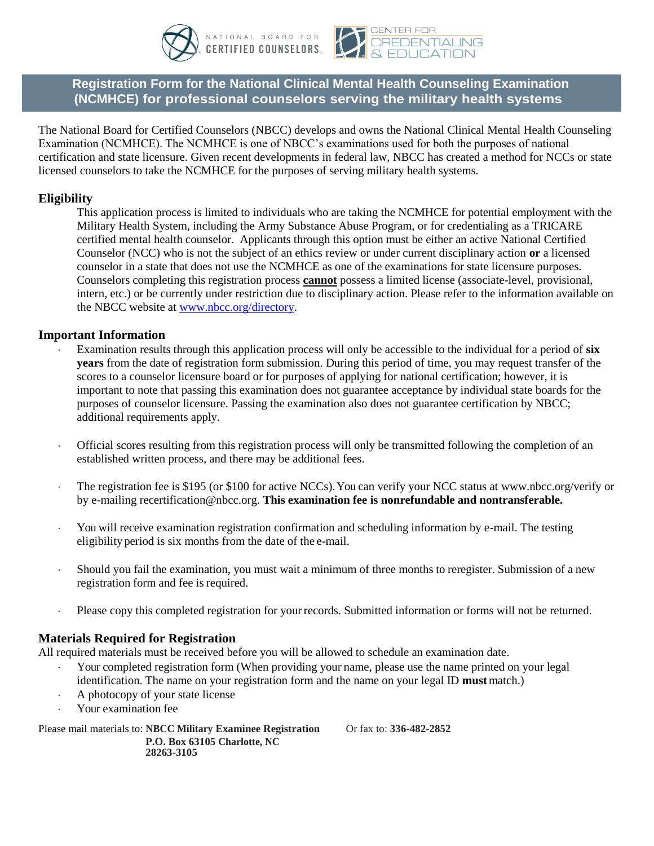



**Registration Form for the National Clinical Mental Health Counseling Examination (NCMHCE) for professional counselors serving the military health systems.** 

The National Board for Certified Counselors (NBCC) develops and owns the National Clinical Mental Health Counseling Examination (NCMHCE). The NCMHCE is one of NBCC's examinations used for both the purposes of national certification and state licensure. Given recent developments in federal law, NBCC has created a method for NCCs or state licensed counselors to take the NCMHCE for the purposes of serving military health systems.

# **Eligibility**

This application process is limited to individuals who are taking the NCMHCE for potential employment with the Military Health System, including the Army Substance Abuse Program, or for credentialing as a TRICARE certified mental health counselor. Applicants through this option must be either an active National Certified Counselor (NCC) who is not the subject of an ethics review or under current disciplinary action **or** a licensed counselor in a state that does not use the NCMHCE as one of the examinations for state licensure purposes. Counselors completing this registration process **cannot** possess a limited license (associate-level, provisional, intern, etc.) or be currently under restriction due to disciplinary action. Please refer to the information available on the NBCC website at [www.nbcc.org/directory.](http://www.nbcc.org/directory)

## **Important Information**

- Examination results through this application process will only be accessible to the individual for a period of **six years** from the date of registration form submission. During this period of time, you may request transfer of the scores to a counselor licensure board or for purposes of applying for national certification; however, it is important to note that passing this examination does not guarantee acceptance by individual state boards for the purposes of counselor licensure. Passing the examination also does not guarantee certification by NBCC; additional requirements apply.
- Official scores resulting from this registration process will only be transmitted following the completion of an established written process, and there may be additional fees.
- The registration fee is \$195 (or \$100 for active NCCs). You can verify your NCC status at [www.nbcc.org/verify](http://www.nbcc.org/verify) or by e-mailin[g recertification@nbcc.org.](mailto:recertification@nbcc.org) **This examination fee is nonrefundable and nontransferable.**
- You will receive examination registration confirmation and scheduling information by e-mail. The testing eligibility period is six months from the date of the e-mail.
- Should you fail the examination, you must wait a minimum of three months to reregister. Submission of a new registration form and fee is required.
- Please copy this completed registration for your records. Submitted information or forms will not be returned.

## **Materials Required for Registration**

All required materials must be received before you will be allowed to schedule an examination date.

- Your completed registration form (When providing your name, please use the name printed on your legal identification. The name on your registration form and the name on your legal ID **must** match.)
- A photocopy of your state license
- Your examination fee

Please mail materials to: **NBCC Military Examinee Registration** Or fax to: **336-482-2852 P.O. Box 63105 Charlotte, NC 28263-3105**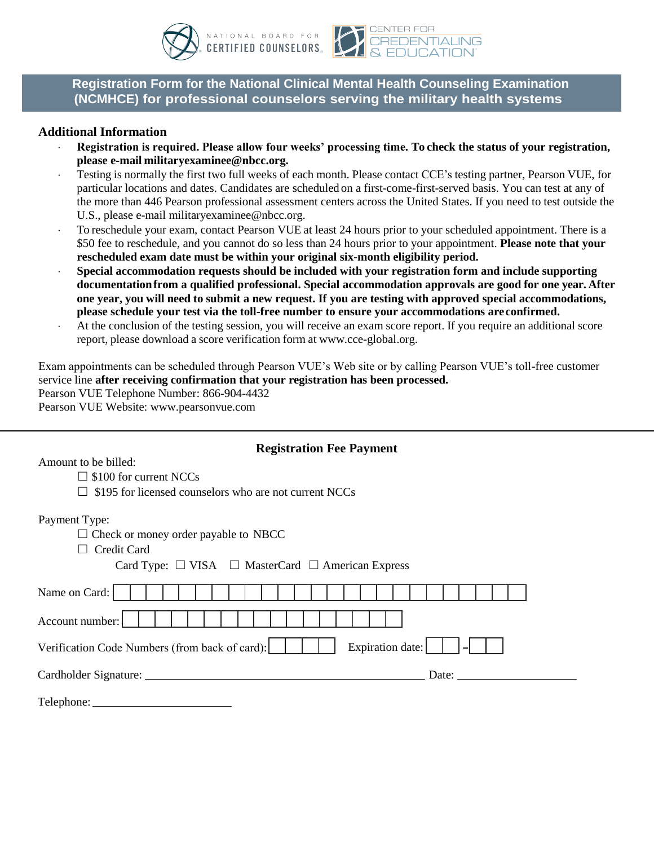



**Registration Form for the National Clinical Mental Health Counseling Examination (NCMHCE) for professional counselors serving the military health systems.** 

### **Additional Information**

- **Registration is required. Please allow four weeks' processing time. To check the status of your registration, please e-mai[l militaryexaminee@nbcc.org.](mailto:militaryexaminee@nbcc.org)**
- Testing is normally the first two full weeks of each month. Please contact CCE's testing partner, Pearson VUE, for particular locations and dates. Candidates are scheduled on a first-come-first-served basis. You can test at any of the more than 446 Pearson professional assessment centers across the United States. If you need to test outside the U.S., please e-mail [militaryexaminee@nbcc.org.](mailto:militaryexaminee@nbcc.org)
- To reschedule your exam, contact Pearson VUE at least 24 hours prior to your scheduled appointment. There is a \$50 fee to reschedule, and you cannot do so less than 24 hours prior to your appointment. **Please note that your rescheduled exam date must be within your original six-month eligibility period.**
- **Special accommodation requests should be included with your registration form and include supporting documentation from a qualified professional. Special accommodation approvals are good for one year. After one year, you will need to submit a new request. If you are testing with approved special accommodations, please schedule your test via the toll-free number to ensure your accommodations are confirmed.**
- At the conclusion of the testing session, you will receive an exam score report. If you require an additional score report, please download a score verification form at [www.cce-global.org.](http://www.cce-global.org/)

Exam appointments can be scheduled through Pearson VUE's Web site or by calling Pearson VUE's toll-free customer service line **after receiving confirmation that your registration has been processed.** Pearson VUE Telephone Number: 866-904-4432

Pearson VUE Website: [www.pearsonvue.com](http://www.pearsonvue.com/)

## **Registration Fee Payment**

Amount to be billed:

- $\square$  \$100 for current NCCs
- $\Box$  \$195 for licensed counselors who are not current NCCs

Payment Type:

 $\Box$  Check or money order payable to NBCC

□ Credit Card

Card Type:  $\Box$  VISA  $\Box$  MasterCard  $\Box$  American Express

| Name on Card:                                              |  |  |  |  |  |  |  |  |  |  |  |  |  |  |  |  |
|------------------------------------------------------------|--|--|--|--|--|--|--|--|--|--|--|--|--|--|--|--|
| Account number:                                            |  |  |  |  |  |  |  |  |  |  |  |  |  |  |  |  |
| Expiration date: $\begin{vmatrix}   &   &   \end{vmatrix}$ |  |  |  |  |  |  |  |  |  |  |  |  |  |  |  |  |
| Date:                                                      |  |  |  |  |  |  |  |  |  |  |  |  |  |  |  |  |
|                                                            |  |  |  |  |  |  |  |  |  |  |  |  |  |  |  |  |